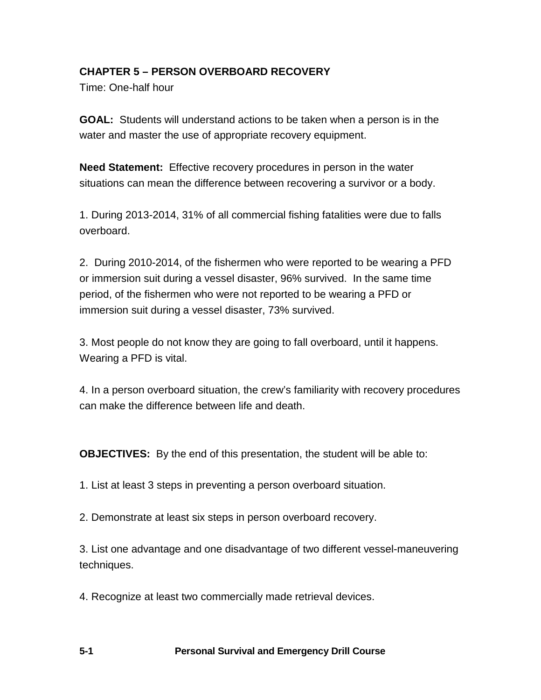# **CHAPTER 5 – PERSON OVERBOARD RECOVERY**

Time: One-half hour

**GOAL:** Students will understand actions to be taken when a person is in the water and master the use of appropriate recovery equipment.

**Need Statement:** Effective recovery procedures in person in the water situations can mean the difference between recovering a survivor or a body.

1. During 2013-2014, 31% of all commercial fishing fatalities were due to falls overboard.

2. During 2010-2014, of the fishermen who were reported to be wearing a PFD or immersion suit during a vessel disaster, 96% survived. In the same time period, of the fishermen who were not reported to be wearing a PFD or immersion suit during a vessel disaster, 73% survived.

3. Most people do not know they are going to fall overboard, until it happens. Wearing a PFD is vital.

4. In a person overboard situation, the crew's familiarity with recovery procedures can make the difference between life and death.

**OBJECTIVES:** By the end of this presentation, the student will be able to:

1. List at least 3 steps in preventing a person overboard situation.

2. Demonstrate at least six steps in person overboard recovery.

3. List one advantage and one disadvantage of two different vessel-maneuvering techniques.

4. Recognize at least two commercially made retrieval devices.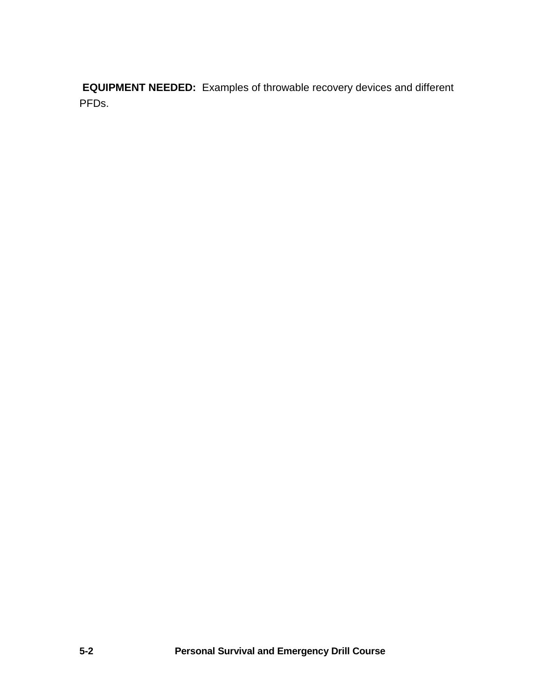**EQUIPMENT NEEDED:** Examples of throwable recovery devices and different PFDs.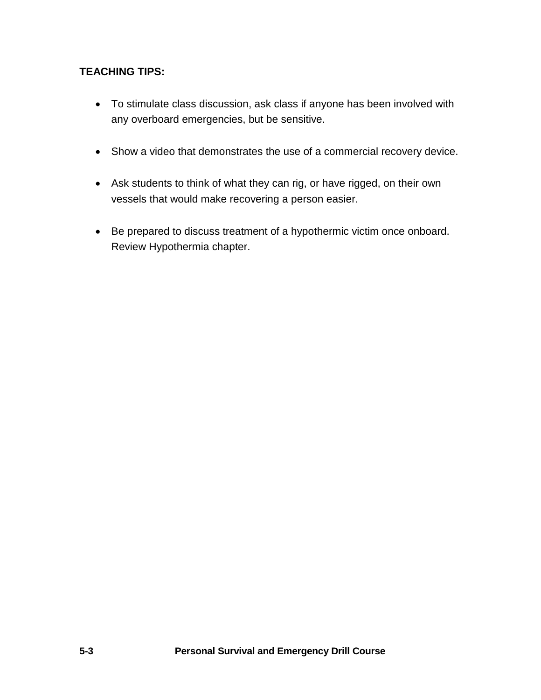## **TEACHING TIPS:**

- To stimulate class discussion, ask class if anyone has been involved with any overboard emergencies, but be sensitive.
- Show a video that demonstrates the use of a commercial recovery device.
- Ask students to think of what they can rig, or have rigged, on their own vessels that would make recovering a person easier.
- Be prepared to discuss treatment of a hypothermic victim once onboard. Review Hypothermia chapter.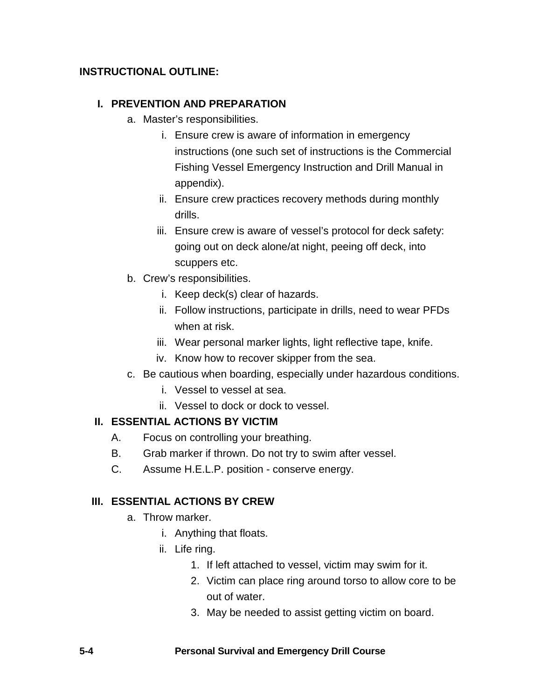### **INSTRUCTIONAL OUTLINE:**

#### **I. PREVENTION AND PREPARATION**

- a. Master's responsibilities.
	- i. Ensure crew is aware of information in emergency instructions (one such set of instructions is the Commercial Fishing Vessel Emergency Instruction and Drill Manual in appendix).
	- ii. Ensure crew practices recovery methods during monthly drills.
	- iii. Ensure crew is aware of vessel's protocol for deck safety: going out on deck alone/at night, peeing off deck, into scuppers etc.
- b. Crew's responsibilities.
	- i. Keep deck(s) clear of hazards.
	- ii. Follow instructions, participate in drills, need to wear PFDs when at risk.
	- iii. Wear personal marker lights, light reflective tape, knife.
	- iv. Know how to recover skipper from the sea.
- c. Be cautious when boarding, especially under hazardous conditions.
	- i. Vessel to vessel at sea.
	- ii. Vessel to dock or dock to vessel.

#### **II. ESSENTIAL ACTIONS BY VICTIM**

- A. Focus on controlling your breathing.
- B. Grab marker if thrown. Do not try to swim after vessel.
- C. Assume H.E.L.P. position conserve energy.

#### **III. ESSENTIAL ACTIONS BY CREW**

- a. Throw marker.
	- i. Anything that floats.
	- ii. Life ring.
		- 1. If left attached to vessel, victim may swim for it.
		- 2. Victim can place ring around torso to allow core to be out of water.
		- 3. May be needed to assist getting victim on board.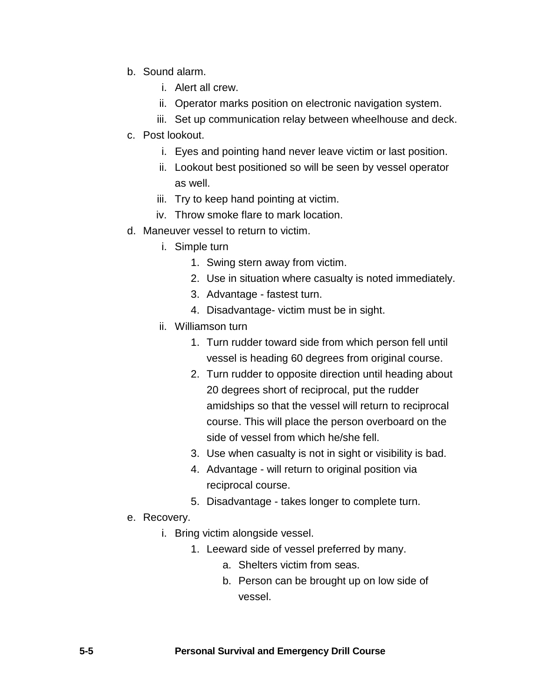- b. Sound alarm.
	- i. Alert all crew.
	- ii. Operator marks position on electronic navigation system.
	- iii. Set up communication relay between wheelhouse and deck.
- c. Post lookout.
	- i. Eyes and pointing hand never leave victim or last position.
	- ii. Lookout best positioned so will be seen by vessel operator as well.
	- iii. Try to keep hand pointing at victim.
	- iv. Throw smoke flare to mark location.
- d. Maneuver vessel to return to victim.
	- i. Simple turn
		- 1. Swing stern away from victim.
		- 2. Use in situation where casualty is noted immediately.
		- 3. Advantage fastest turn.
		- 4. Disadvantage- victim must be in sight.
	- ii. Williamson turn
		- 1. Turn rudder toward side from which person fell until vessel is heading 60 degrees from original course.
		- 2. Turn rudder to opposite direction until heading about 20 degrees short of reciprocal, put the rudder amidships so that the vessel will return to reciprocal course. This will place the person overboard on the side of vessel from which he/she fell.
		- 3. Use when casualty is not in sight or visibility is bad.
		- 4. Advantage will return to original position via reciprocal course.
		- 5. Disadvantage takes longer to complete turn.
- e. Recovery.
	- i. Bring victim alongside vessel.
		- 1. Leeward side of vessel preferred by many.
			- a. Shelters victim from seas.
			- b. Person can be brought up on low side of vessel.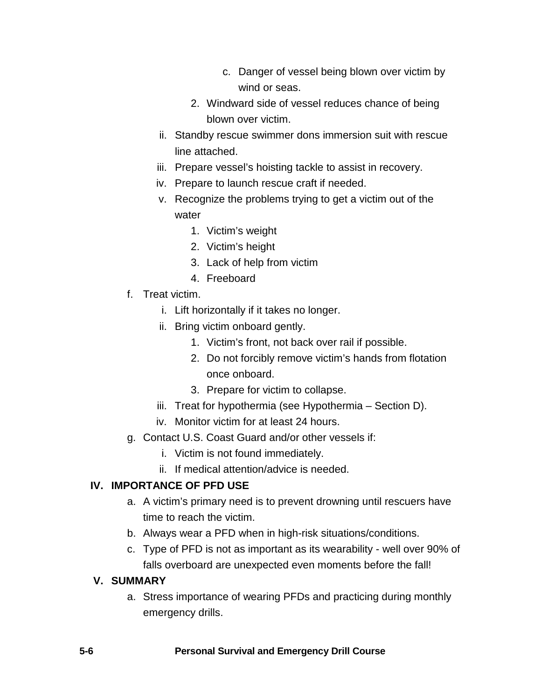- c. Danger of vessel being blown over victim by wind or seas.
- 2. Windward side of vessel reduces chance of being blown over victim.
- ii. Standby rescue swimmer dons immersion suit with rescue line attached.
- iii. Prepare vessel's hoisting tackle to assist in recovery.
- iv. Prepare to launch rescue craft if needed.
- v. Recognize the problems trying to get a victim out of the water
	- 1. Victim's weight
	- 2. Victim's height
	- 3. Lack of help from victim
	- 4. Freeboard
- f. Treat victim.
	- i. Lift horizontally if it takes no longer.
	- ii. Bring victim onboard gently.
		- 1. Victim's front, not back over rail if possible.
		- 2. Do not forcibly remove victim's hands from flotation once onboard.
		- 3. Prepare for victim to collapse.
	- iii. Treat for hypothermia (see Hypothermia Section D).
	- iv. Monitor victim for at least 24 hours.
- g. Contact U.S. Coast Guard and/or other vessels if:
	- i. Victim is not found immediately.
	- ii. If medical attention/advice is needed.

## **IV. IMPORTANCE OF PFD USE**

- a. A victim's primary need is to prevent drowning until rescuers have time to reach the victim.
- b. Always wear a PFD when in high-risk situations/conditions.
- c. Type of PFD is not as important as its wearability well over 90% of falls overboard are unexpected even moments before the fall!

#### **V. SUMMARY**

a. Stress importance of wearing PFDs and practicing during monthly emergency drills.